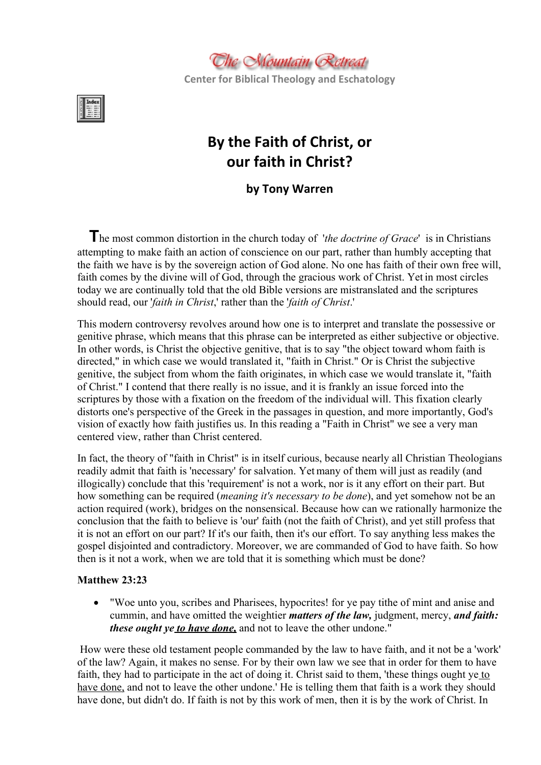

**Center for Biblical Theology and Eschatology**



# **By the Faith of Christ, or our faith in Christ?**

**by Tony Warren**

**T**he most common distortion in the church today of '*the doctrine of Grace*' is in Christians attempting to make faith an action of conscience on our part, rather than humbly accepting that the faith we have is by the sovereign action of God alone. No one has faith of their own free will, faith comes by the divine will of God, through the gracious work of Christ. Yet in most circles today we are continually told that the old Bible versions are mistranslated and the scriptures should read, our '*faith in Christ*,' rather than the '*faith of Christ*.'

This modern controversy revolves around how one is to interpret and translate the possessive or genitive phrase, which means that this phrase can be interpreted as either subjective or objective. In other words, is Christ the objective genitive, that is to say "the object toward whom faith is directed," in which case we would translated it, "faith in Christ." Or is Christ the subjective genitive, the subject from whom the faith originates, in which case we would translate it, "faith of Christ." I contend that there really is no issue, and it is frankly an issue forced into the scriptures by those with a fixation on the freedom of the individual will. This fixation clearly distorts one's perspective of the Greek in the passages in question, and more importantly, God's vision of exactly how faith justifies us. In this reading a "Faith in Christ" we see a very man centered view, rather than Christ centered.

In fact, the theory of "faith in Christ" is in itself curious, because nearly all Christian Theologians readily admit that faith is 'necessary' for salvation. Yet many of them will just as readily (and illogically) conclude that this 'requirement' is not a work, nor is it any effort on their part. But how something can be required (*meaning it's necessary to be done*), and yet somehow not be an action required (work), bridges on the nonsensical. Because how can we rationally harmonize the conclusion that the faith to believe is 'our' faith (not the faith of Christ), and yet still profess that it is not an effort on our part? If it's our faith, then it's our effort. To say anything less makes the gospel disjointed and contradictory. Moreover, we are commanded of God to have faith. So how then is it not a work, when we are told that it is something which must be done?

## **Matthew 23:23**

 "Woe unto you, scribes and Pharisees, hypocrites! for ye pay tithe of mint and anise and cummin, and have omitted the weightier *matters of the law,* judgment, mercy, *and faith: these ought ye to have done*, and not to leave the other undone."

How were these old testament people commanded by the law to have faith, and it not be a 'work' of the law? Again, it makes no sense. For by their own law we see that in order for them to have faith, they had to participate in the act of doing it. Christ said to them, 'these things ought ye to have done, and not to leave the other undone.' He is telling them that faith is a work they should have done, but didn't do. If faith is not by this work of men, then it is by the work of Christ. In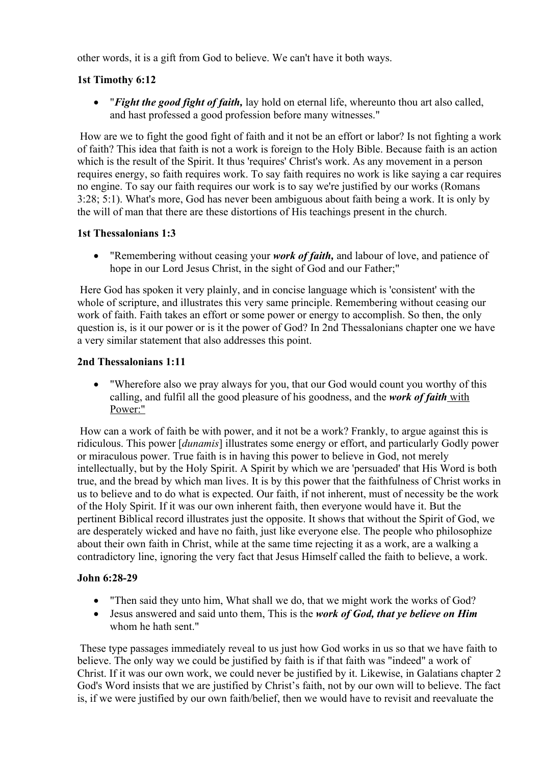other words, it is a gift from God to believe. We can't have it both ways.

## **1st Timothy 6:12**

 "*Fight the good fight of faith,* lay hold on eternal life, whereunto thou art also called, and hast professed a good profession before many witnesses."

How are we to fight the good fight of faith and it not be an effort or labor? Is not fighting a work of faith? This idea that faith is not a work is foreign to the Holy Bible. Because faith is an action which is the result of the Spirit. It thus 'requires' Christ's work. As any movement in a person requires energy, so faith requires work. To say faith requires no work is like saying a car requires no engine. To say our faith requires our work is to say we're justified by our works (Romans 3:28; 5:1). What's more, God has never been ambiguous about faith being a work. It is only by the will of man that there are these distortions of His teachings present in the church.

## **1st Thessalonians 1:3**

 "Remembering without ceasing your *work of faith,* and labour of love, and patience of hope in our Lord Jesus Christ, in the sight of God and our Father;"

Here God has spoken it very plainly, and in concise language which is 'consistent' with the whole of scripture, and illustrates this very same principle. Remembering without ceasing our work of faith. Faith takes an effort or some power or energy to accomplish. So then, the only question is, is it our power or is it the power of God? In 2nd Thessalonians chapter one we have a very similar statement that also addresses this point.

## **2nd Thessalonians 1:11**

 "Wherefore also we pray always for you, that our God would count you worthy of this calling, and fulfil all the good pleasure of his goodness, and the *work of faith* with Power:"

How can a work of faith be with power, and it not be a work? Frankly, to argue against this is ridiculous. This power [*dunamis*] illustrates some energy or effort, and particularly Godly power or miraculous power. True faith is in having this power to believe in God, not merely intellectually, but by the Holy Spirit. A Spirit by which we are 'persuaded' that His Word is both true, and the bread by which man lives. It is by this power that the faithfulness of Christ works in us to believe and to do what is expected. Our faith, if not inherent, must of necessity be the work of the Holy Spirit. If it was our own inherent faith, then everyone would have it. But the pertinent Biblical record illustrates just the opposite. It shows that without the Spirit of God, we are desperately wicked and have no faith, just like everyone else. The people who philosophize about their own faith in Christ, while at the same time rejecting it as a work, are a walking a contradictory line, ignoring the very fact that Jesus Himself called the faith to believe, a work.

## **John 6:28-29**

- "Then said they unto him, What shall we do, that we might work the works of God?
- Jesus answered and said unto them, This is the *work of God, that ye believe on Him* whom he hath sent."

These type passages immediately reveal to us just how God works in us so that we have faith to believe. The only way we could be justified by faith is if that faith was "indeed" a work of Christ. If it was our own work, we could never be justified by it. Likewise, in Galatians chapter 2 God's Word insists that we are justified by Christ's faith, not by our own will to believe. The fact is, if we were justified by our own faith/belief, then we would have to revisit and reevaluate the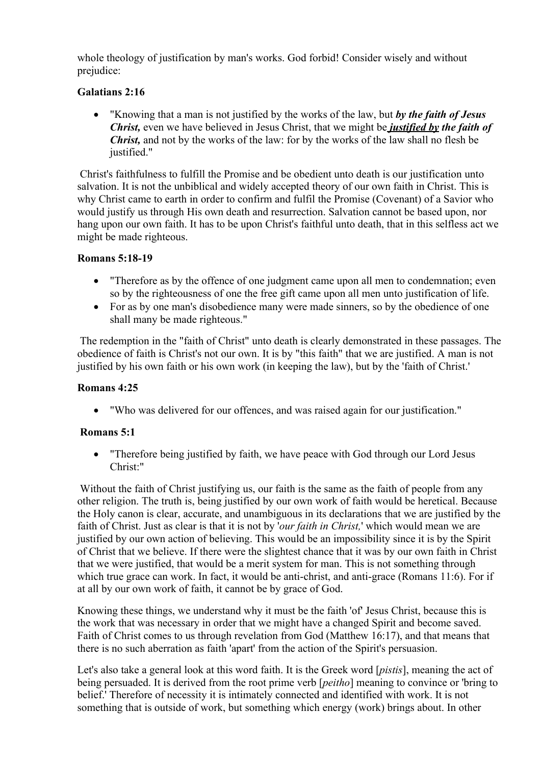whole theology of justification by man's works. God forbid! Consider wisely and without prejudice:

# **Galatians 2:16**

 "Knowing that a man is not justified by the works of the law, but *by the faith of Jesus Christ,* even we have believed in Jesus Christ, that we might be *justified by the faith of Christ*, and not by the works of the law: for by the works of the law shall no flesh be justified."

Christ's faithfulness to fulfill the Promise and be obedient unto death is our justification unto salvation. It is not the unbiblical and widely accepted theory of our own faith in Christ. This is why Christ came to earth in order to confirm and fulfil the Promise (Covenant) of a Savior who would justify us through His own death and resurrection. Salvation cannot be based upon, nor hang upon our own faith. It has to be upon Christ's faithful unto death, that in this selfless act we might be made righteous.

## **Romans 5:18-19**

- "Therefore as by the offence of one judgment came upon all men to condemnation; even so by the righteousness of one the free gift came upon all men unto justification of life.
- For as by one man's disobedience many were made sinners, so by the obedience of one shall many be made righteous."

The redemption in the "faith of Christ" unto death is clearly demonstrated in these passages. The obedience of faith is Christ's not our own. It is by "this faith" that we are justified. A man is not justified by his own faith or his own work (in keeping the law), but by the 'faith of Christ.'

#### **Romans 4:25**

"Who was delivered for our offences, and was raised again for our justification."

## **Romans 5:1**

• Therefore being justified by faith, we have peace with God through our Lord Jesus Christ:"

Without the faith of Christ justifying us, our faith is the same as the faith of people from any other religion. The truth is, being justified by our own work of faith would be heretical. Because the Holy canon is clear, accurate, and unambiguous in its declarations that we are justified by the faith of Christ. Just as clear is that it is not by '*our faith in Christ,*' which would mean we are justified by our own action of believing. This would be an impossibility since it is by the Spirit of Christ that we believe. If there were the slightest chance that it was by our own faith in Christ that we were justified, that would be a merit system for man. This is not something through which true grace can work. In fact, it would be anti-christ, and anti-grace (Romans 11:6). For if at all by our own work of faith, it cannot be by grace of God.

Knowing these things, we understand why it must be the faith 'of' Jesus Christ, because this is the work that was necessary in order that we might have a changed Spirit and become saved. Faith of Christ comes to us through revelation from God (Matthew 16:17), and that means that there is no such aberration as faith 'apart' from the action of the Spirit's persuasion.

Let's also take a general look at this word faith. It is the Greek word [*pistis*], meaning the act of being persuaded. It is derived from the root prime verb [*peitho*] meaning to convince or 'bring to belief.' Therefore of necessity it is intimately connected and identified with work. It is not something that is outside of work, but something which energy (work) brings about. In other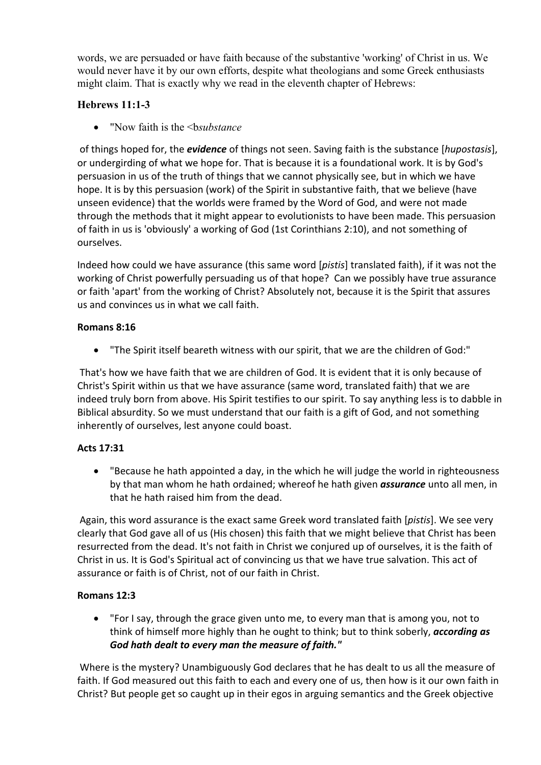words, we are persuaded or have faith because of the substantive 'working' of Christ in us. We would never have it by our own efforts, despite what theologians and some Greek enthusiasts might claim. That is exactly why we read in the eleventh chapter of Hebrews:

# **Hebrews 11:1-3**

• "Now faith is the *shaubstance* 

of things hoped for, the *evidence* of things not seen. Saving faith is the substance [*hupostasis*], or undergirding of what we hope for. That is because it is a foundational work. It is by God's persuasion in us of the truth of things that we cannot physically see, but in which we have hope. It is by this persuasion (work) of the Spirit in substantive faith, that we believe (have unseen evidence) that the worlds were framed by the Word of God, and were not made through the methods that it might appear to evolutionists to have been made. This persuasion of faith in us is 'obviously' a working of God (1st Corinthians 2:10), and not something of ourselves.

Indeed how could we have assurance (this same word [*pistis*] translated faith), if it was not the working of Christ powerfully persuading us of that hope? Can we possibly have true assurance or faith 'apart' from the working of Christ? Absolutely not, because it is the Spirit that assures us and convinces us in what we call faith.

## **Romans 8:16**

"The Spirit itself beareth witness with our spirit, that we are the children of God:"

That's how we have faith that we are children of God. It is evident that it is only because of Christ's Spirit within us that we have assurance (same word, translated faith) that we are indeed truly born from above. His Spirit testifies to our spirit. To say anything less is to dabble in Biblical absurdity. So we must understand that our faith is a gift of God, and not something inherently of ourselves, lest anyone could boast.

## **Acts 17:31**

 "Because he hath appointed a day, in the which he will judge the world in righteousness by that man whom he hath ordained; whereof he hath given *assurance* unto all men, in that he hath raised him from the dead.

Again, this word assurance is the exact same Greek word translated faith [*pistis*]. We see very clearly that God gave all of us (His chosen) this faith that we might believe that Christ has been resurrected from the dead. It's not faith in Christ we conjured up of ourselves, it is the faith of Christ in us. It is God's Spiritual act of convincing us that we have true salvation. This act of assurance or faith is of Christ, not of our faith in Christ.

# **Romans 12:3**

 "For I say, through the grace given unto me, to every man that is among you, not to think of himself more highly than he ought to think; but to think soberly, *according as God hath dealt to every man the measure of faith."*

Where is the mystery? Unambiguously God declares that he has dealt to us all the measure of faith. If God measured out this faith to each and every one of us, then how is it our own faith in Christ? But people get so caught up in their egos in arguing semantics and the Greek objective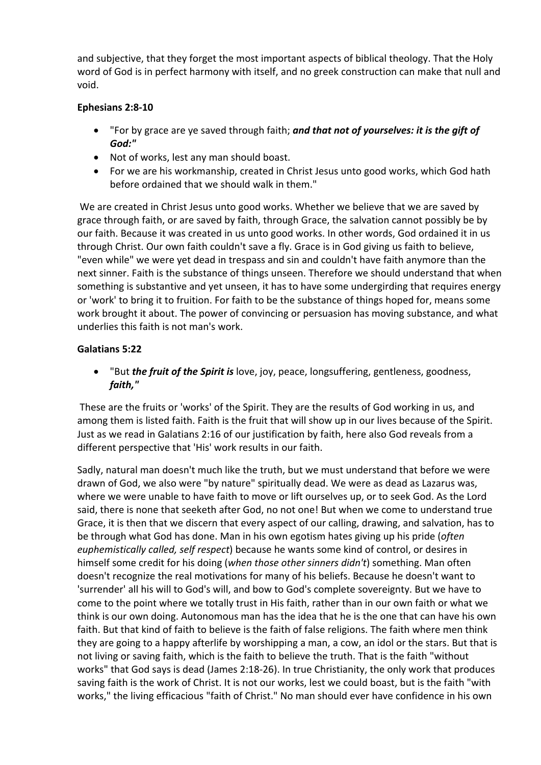and subjective, that they forget the most important aspects of biblical theology. That the Holy word of God is in perfect harmony with itself, and no greek construction can make that null and void.

## **Ephesians 2:8-10**

- "For by grace are ye saved through faith; *and that not of yourselves: it is the gift of God:"*
- Not of works, lest any man should boast.
- For we are his workmanship, created in Christ Jesus unto good works, which God hath before ordained that we should walk in them."

We are created in Christ Jesus unto good works. Whether we believe that we are saved by grace through faith, or are saved by faith, through Grace, the salvation cannot possibly be by our faith. Because it was created in us unto good works. In other words, God ordained it in us through Christ. Our own faith couldn't save a fly. Grace is in God giving us faith to believe, "even while" we were yet dead in trespass and sin and couldn't have faith anymore than the next sinner. Faith is the substance of things unseen. Therefore we should understand that when something is substantive and yet unseen, it has to have some undergirding that requires energy or 'work' to bring it to fruition. For faith to be the substance of things hoped for, means some work brought it about. The power of convincing or persuasion has moving substance, and what underlies this faith is not man's work.

# **Galatians 5:22**

 "But *the fruit of the Spirit is* love, joy, peace, longsuffering, gentleness, goodness, *faith,"*

These are the fruits or 'works' of the Spirit. They are the results of God working in us, and among them is listed faith. Faith is the fruit that will show up in our lives because of the Spirit. Just as we read in Galatians 2:16 of our justification by faith, here also God reveals from a different perspective that 'His' work results in our faith.

Sadly, natural man doesn't much like the truth, but we must understand that before we were drawn of God, we also were "by nature" spiritually dead. We were as dead as Lazarus was, where we were unable to have faith to move or lift ourselves up, or to seek God. As the Lord said, there is none that seeketh after God, no not one! But when we come to understand true Grace, it is then that we discern that every aspect of our calling, drawing, and salvation, has to be through what God has done. Man in his own egotism hates giving up his pride (*often euphemistically called, self respect*) because he wants some kind of control, or desires in himself some credit for his doing (*when those other sinners didn't*) something. Man often doesn't recognize the real motivations for many of his beliefs. Because he doesn't want to 'surrender' all his will to God's will, and bow to God's complete sovereignty. But we have to come to the point where we totally trust in His faith, rather than in our own faith or what we think is our own doing. Autonomous man has the idea that he is the one that can have his own faith. But that kind of faith to believe is the faith of false religions. The faith where men think they are going to a happy afterlife by worshipping a man, a cow, an idol or the stars. But that is not living or saving faith, which is the faith to believe the truth. That is the faith "without works" that God says is dead (James 2:18-26). In true Christianity, the only work that produces saving faith is the work of Christ. It is not our works, lest we could boast, but is the faith "with works," the living efficacious "faith of Christ." No man should ever have confidence in his own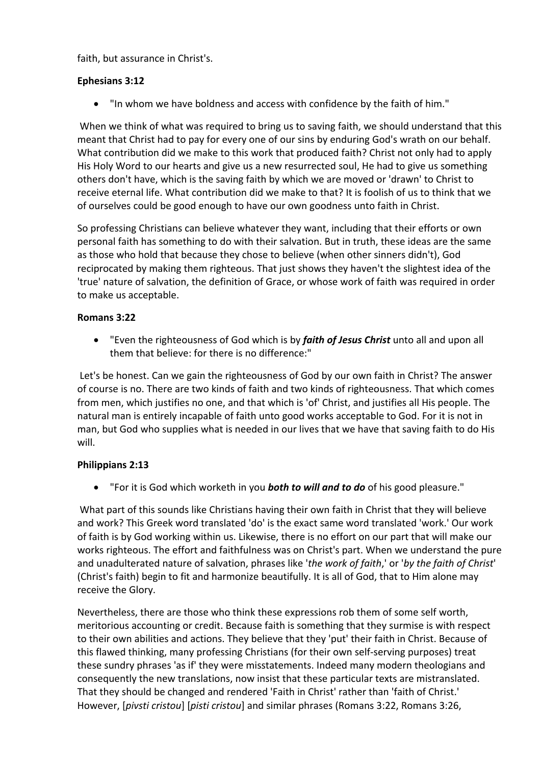faith, but assurance in Christ's.

## **Ephesians 3:12**

"In whom we have boldness and access with confidence by the faith of him."

When we think of what was required to bring us to saving faith, we should understand that this meant that Christ had to pay for every one of our sins by enduring God's wrath on our behalf. What contribution did we make to this work that produced faith? Christ not only had to apply His Holy Word to our hearts and give us a new resurrected soul, He had to give us something others don't have, which is the saving faith by which we are moved or 'drawn' to Christ to receive eternal life. What contribution did we make to that? It is foolish of us to think that we of ourselves could be good enough to have our own goodness unto faith in Christ.

So professing Christians can believe whatever they want, including that their efforts or own personal faith has something to do with their salvation. But in truth, these ideas are the same as those who hold that because they chose to believe (when other sinners didn't), God reciprocated by making them righteous. That just shows they haven't the slightest idea of the 'true' nature of salvation, the definition of Grace, or whose work of faith was required in order to make us acceptable.

#### **Romans 3:22**

 "Even the righteousness of God which is by *faith of Jesus Christ* unto all and upon all them that believe: for there is no difference:"

Let's be honest. Can we gain the righteousness of God by our own faith in Christ? The answer of course is no. There are two kinds of faith and two kinds of righteousness. That which comes from men, which justifies no one, and that which is 'of' Christ, and justifies all His people. The natural man is entirely incapable of faith unto good works acceptable to God. For it is not in man, but God who supplies what is needed in our lives that we have that saving faith to do His will.

## **Philippians 2:13**

"For it is God which worketh in you *both to will and to do* of his good pleasure."

What part of this sounds like Christians having their own faith in Christ that they will believe and work? This Greek word translated 'do' is the exact same word translated 'work.' Our work of faith is by God working within us. Likewise, there is no effort on our part that will make our works righteous. The effort and faithfulness was on Christ's part. When we understand the pure and unadulterated nature of salvation, phrases like '*the work of faith*,' or '*by the faith of Christ*' (Christ's faith) begin to fit and harmonize beautifully. It is all of God, that to Him alone may receive the Glory.

Nevertheless, there are those who think these expressions rob them of some self worth, meritorious accounting or credit. Because faith is something that they surmise is with respect to their own abilities and actions. They believe that they 'put' their faith in Christ. Because of this flawed thinking, many professing Christians (for their own self-serving purposes) treat these sundry phrases 'as if' they were misstatements. Indeed many modern theologians and consequently the new translations, now insist that these particular texts are mistranslated. That they should be changed and rendered 'Faith in Christ' rather than 'faith of Christ.' However, [*pivsti cristou*] [*pisti cristou*] and similar phrases (Romans 3:22, Romans 3:26,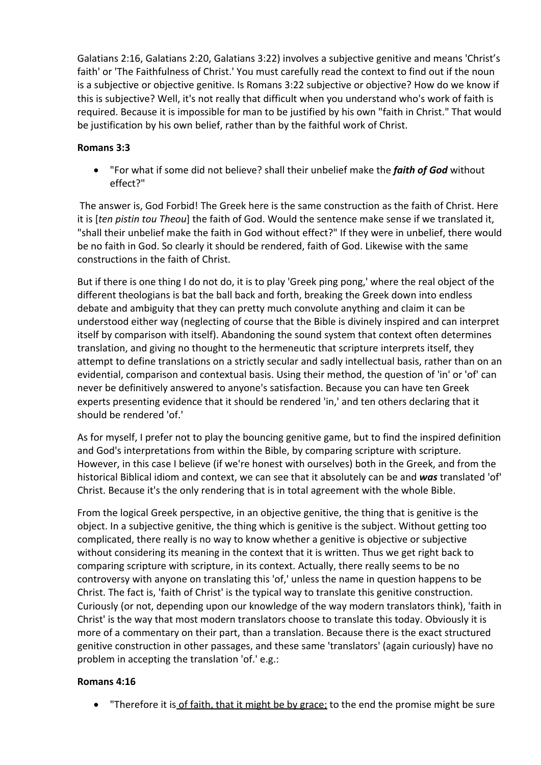Galatians 2:16, Galatians 2:20, Galatians 3:22) involves a subjective genitive and means 'Christ's faith' or 'The Faithfulness of Christ.' You must carefully read the context to find out if the noun is a subjective or objective genitive. Is Romans 3:22 subjective or objective? How do we know if this is subjective? Well, it's not really that difficult when you understand who's work of faith is required. Because it is impossible for man to be justified by his own "faith in Christ." That would be justification by his own belief, rather than by the faithful work of Christ.

## **Romans 3:3**

 "For what if some did not believe? shall their unbelief make the *faith of God* without effect?"

The answer is, God Forbid! The Greek here is the same construction as the faith of Christ. Here it is [*ten pistin tou Theou*] the faith of God. Would the sentence make sense if we translated it, "shall their unbelief make the faith in God without effect?" If they were in unbelief, there would be no faith in God. So clearly it should be rendered, faith of God. Likewise with the same constructions in the faith of Christ.

But if there is one thing I do not do, it is to play 'Greek ping pong,' where the real object of the different theologians is bat the ball back and forth, breaking the Greek down into endless debate and ambiguity that they can pretty much convolute anything and claim it can be understood either way (neglecting of course that the Bible is divinely inspired and can interpret itself by comparison with itself). Abandoning the sound system that context often determines translation, and giving no thought to the hermeneutic that scripture interprets itself, they attempt to define translations on a strictly secular and sadly intellectual basis, rather than on an evidential, comparison and contextual basis. Using their method, the question of 'in' or 'of' can never be definitively answered to anyone's satisfaction. Because you can have ten Greek experts presenting evidence that it should be rendered 'in,' and ten others declaring that it should be rendered 'of.'

As for myself, I prefer not to play the bouncing genitive game, but to find the inspired definition and God's interpretations from within the Bible, by comparing scripture with scripture. However, in this case I believe (if we're honest with ourselves) both in the Greek, and from the historical Biblical idiom and context, we can see that it absolutely can be and *was* translated 'of' Christ. Because it's the only rendering that is in total agreement with the whole Bible.

From the logical Greek perspective, in an objective genitive, the thing that is genitive is the object. In a subjective genitive, the thing which is genitive is the subject. Without getting too complicated, there really is no way to know whether a genitive is objective or subjective without considering its meaning in the context that it is written. Thus we get right back to comparing scripture with scripture, in its context. Actually, there really seems to be no controversy with anyone on translating this 'of,' unless the name in question happens to be Christ. The fact is, 'faith of Christ' is the typical way to translate this genitive construction. Curiously (or not, depending upon our knowledge of the way modern translators think), 'faith in Christ' is the way that most modern translators choose to translate this today. Obviously it is more of a commentary on their part, than a translation. Because there is the exact structured genitive construction in other passages, and these same 'translators' (again curiously) have no problem in accepting the translation 'of.' e.g.:

## **Romans 4:16**

• "Therefore it is of faith, that it might be by grace; to the end the promise might be sure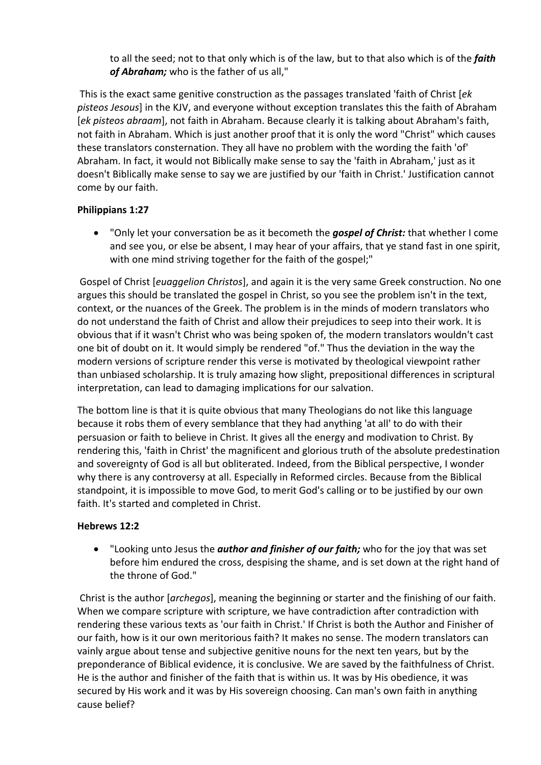to all the seed; not to that only which is of the law, but to that also which is of the *faith of Abraham;* who is the father of us all,"

This is the exact same genitive construction as the passages translated 'faith of Christ [*ek pisteos Jesous*] in the KJV, and everyone without exception translates this the faith of Abraham [*ek pisteos abraam*], not faith in Abraham. Because clearly it is talking about Abraham's faith, not faith in Abraham. Which is just another proof that it is only the word "Christ" which causes these translators consternation. They all have no problem with the wording the faith 'of' Abraham. In fact, it would not Biblically make sense to say the 'faith in Abraham,' just as it doesn't Biblically make sense to say we are justified by our 'faith in Christ.' Justification cannot come by our faith.

## **Philippians 1:27**

 "Only let your conversation be as it becometh the *gospel of Christ:* that whether I come and see you, or else be absent, I may hear of your affairs, that ye stand fast in one spirit, with one mind striving together for the faith of the gospel;"

Gospel of Christ [*euaggelion Christos*], and again it is the very same Greek construction. No one argues this should be translated the gospel in Christ, so you see the problem isn't in the text, context, or the nuances of the Greek. The problem is in the minds of modern translators who do not understand the faith of Christ and allow their prejudices to seep into their work. It is obvious that if it wasn't Christ who was being spoken of, the modern translators wouldn't cast one bit of doubt on it. It would simply be rendered "of." Thus the deviation in the way the modern versions of scripture render this verse is motivated by theological viewpoint rather than unbiased scholarship. It is truly amazing how slight, prepositional differences in scriptural interpretation, can lead to damaging implications for our salvation.

The bottom line is that it is quite obvious that many Theologians do not like this language because it robs them of every semblance that they had anything 'at all' to do with their persuasion or faith to believe in Christ. It gives all the energy and modivation to Christ. By rendering this, 'faith in Christ' the magnificent and glorious truth of the absolute predestination and sovereignty of God is all but obliterated. Indeed, from the Biblical perspective, I wonder why there is any controversy at all. Especially in Reformed circles. Because from the Biblical standpoint, it is impossible to move God, to merit God's calling or to be justified by our own faith. It's started and completed in Christ.

## **Hebrews 12:2**

 "Looking unto Jesus the *author and finisher of our faith;* who for the joy that was set before him endured the cross, despising the shame, and is set down at the right hand of the throne of God."

Christ is the author [*archegos*], meaning the beginning or starter and the finishing of our faith. When we compare scripture with scripture, we have contradiction after contradiction with rendering these various texts as 'our faith in Christ.' If Christ is both the Author and Finisher of our faith, how is it our own meritorious faith? It makes no sense. The modern translators can vainly argue about tense and subjective genitive nouns for the next ten years, but by the preponderance of Biblical evidence, it is conclusive. We are saved by the faithfulness of Christ. He is the author and finisher of the faith that is within us. It was by His obedience, it was secured by His work and it was by His sovereign choosing. Can man's own faith in anything cause belief?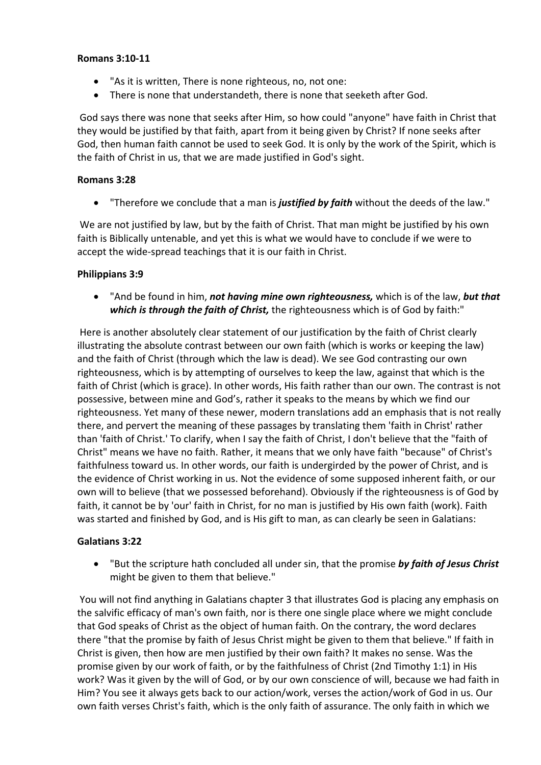#### **Romans 3:10-11**

- "As it is written, There is none righteous, no, not one:
- There is none that understandeth, there is none that seeketh after God.

God says there was none that seeks after Him, so how could "anyone" have faith in Christ that they would be justified by that faith, apart from it being given by Christ? If none seeks after God, then human faith cannot be used to seek God. It is only by the work of the Spirit, which is the faith of Christ in us, that we are made justified in God's sight.

## **Romans 3:28**

"Therefore we conclude that a man is *justified by faith* without the deeds of the law."

We are not justified by law, but by the faith of Christ. That man might be justified by his own faith is Biblically untenable, and yet this is what we would have to conclude if we were to accept the wide-spread teachings that it is our faith in Christ.

## **Philippians 3:9**

 "And be found in him, *not having mine own righteousness,* which is of the law, *but that which is through the faith of Christ,* the righteousness which is of God by faith:"

Here is another absolutely clear statement of our justification by the faith of Christ clearly illustrating the absolute contrast between our own faith (which is works or keeping the law) and the faith of Christ (through which the law is dead). We see God contrasting our own righteousness, which is by attempting of ourselves to keep the law, against that which is the faith of Christ (which is grace). In other words, His faith rather than our own. The contrast is not possessive, between mine and God's, rather it speaks to the means by which we find our righteousness. Yet many of these newer, modern translations add an emphasis that is not really there, and pervert the meaning of these passages by translating them 'faith in Christ' rather than 'faith of Christ.' To clarify, when I say the faith of Christ, I don't believe that the "faith of Christ" means we have no faith. Rather, it means that we only have faith "because" of Christ's faithfulness toward us. In other words, our faith is undergirded by the power of Christ, and is the evidence of Christ working in us. Not the evidence of some supposed inherent faith, or our own will to believe (that we possessed beforehand). Obviously if the righteousness is of God by faith, it cannot be by 'our' faith in Christ, for no man is justified by His own faith (work). Faith was started and finished by God, and is His gift to man, as can clearly be seen in Galatians:

## **Galatians 3:22**

 "But the scripture hath concluded all under sin, that the promise *by faith of Jesus Christ* might be given to them that believe."

You will not find anything in Galatians chapter 3 that illustrates God is placing any emphasis on the salvific efficacy of man's own faith, nor is there one single place where we might conclude that God speaks of Christ as the object of human faith. On the contrary, the word declares there "that the promise by faith of Jesus Christ might be given to them that believe." If faith in Christ is given, then how are men justified by their own faith? It makes no sense. Was the promise given by our work of faith, or by the faithfulness of Christ (2nd Timothy 1:1) in His work? Was it given by the will of God, or by our own conscience of will, because we had faith in Him? You see it always gets back to our action/work, verses the action/work of God in us. Our own faith verses Christ's faith, which is the only faith of assurance. The only faith in which we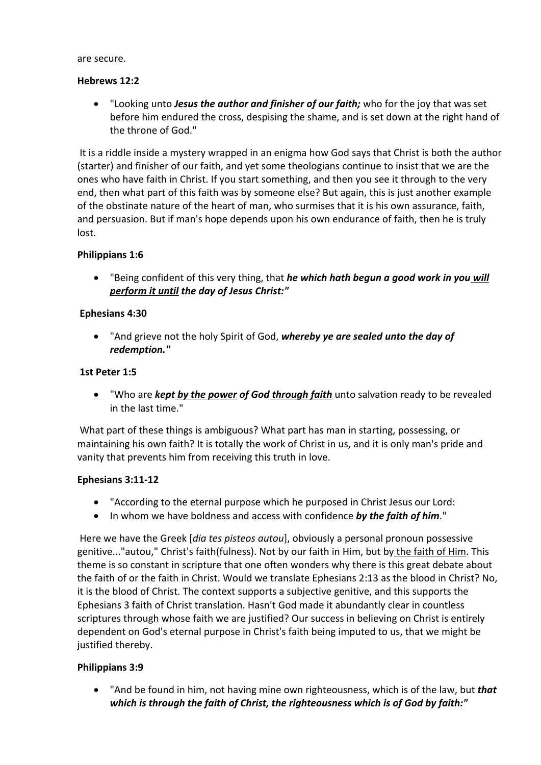are secure.

#### **Hebrews 12:2**

 "Looking unto *Jesus the author and finisher of our faith;* who for the joy that was set before him endured the cross, despising the shame, and is set down at the right hand of the throne of God."

It is a riddle inside a mystery wrapped in an enigma how God says that Christ is both the author (starter) and finisher of our faith, and yet some theologians continue to insist that we are the ones who have faith in Christ. If you start something, and then you see it through to the very end, then what part of this faith was by someone else? But again, this is just another example of the obstinate nature of the heart of man, who surmises that it is his own assurance, faith, and persuasion. But if man's hope depends upon his own endurance of faith, then he is truly lost.

#### **Philippians 1:6**

 "Being confident of this very thing, that *he which hath begun a good work in you will perform it until the day of Jesus Christ:"*

#### **Ephesians 4:30**

 "And grieve not the holy Spirit of God, *whereby ye are sealed unto the day of redemption."*

#### **1st Peter 1:5**

 "Who are *kept by the power of God through faith* unto salvation ready to be revealed in the last time."

What part of these things is ambiguous? What part has man in starting, possessing, or maintaining his own faith? It is totally the work of Christ in us, and it is only man's pride and vanity that prevents him from receiving this truth in love.

#### **Ephesians 3:11-12**

- "According to the eternal purpose which he purposed in Christ Jesus our Lord:
- In whom we have boldness and access with confidence *by the faith of him*."

Here we have the Greek [*dia tes pisteos autou*], obviously a personal pronoun possessive genitive..."autou," Christ's faith(fulness). Not by our faith in Him, but by the faith of Him. This theme is so constant in scripture that one often wonders why there is this great debate about the faith of or the faith in Christ. Would we translate Ephesians 2:13 as the blood in Christ? No, it is the blood of Christ. The context supports a subjective genitive, and this supports the Ephesians 3 faith of Christ translation. Hasn't God made it abundantly clear in countless scriptures through whose faith we are justified? Our success in believing on Christ is entirely dependent on God's eternal purpose in Christ's faith being imputed to us, that we might be justified thereby.

## **Philippians 3:9**

 "And be found in him, not having mine own righteousness, which is of the law, but *that which is through the faith of Christ, the righteousness which is of God by faith:"*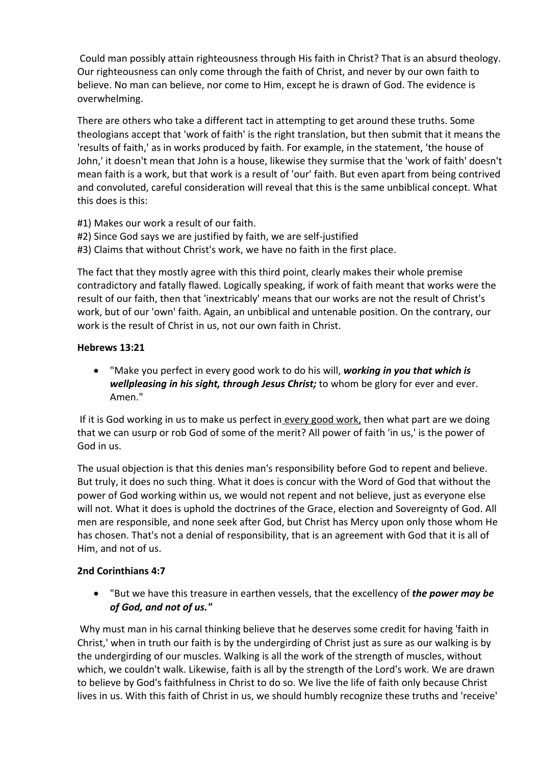Could man possibly attain righteousness through His faith in Christ? That is an absurd theology. Our righteousness can only come through the faith of Christ, and never by our own faith to believe. No man can believe, nor come to Him, except he is drawn of God. The evidence is overwhelming.

There are others who take a different tact in attempting to get around these truths. Some theologians accept that 'work of faith' is the right translation, but then submit that it means the 'results of faith,' as in works produced by faith. For example, in the statement, 'the house of John,' it doesn't mean that John is a house, likewise they surmise that the 'work of faith' doesn't mean faith is a work, but that work is a result of 'our' faith. But even apart from being contrived and convoluted, careful consideration will reveal that this is the same unbiblical concept. What this does is this:

- #1) Makes our work a result of our faith.
- #2) Since God says we are justified by faith, we are self-justified
- #3) Claims that without Christ's work, we have no faith in the first place.

The fact that they mostly agree with this third point, clearly makes their whole premise contradictory and fatally flawed. Logically speaking, if work of faith meant that works were the result of our faith, then that 'inextricably' means that our works are not the result of Christ's work, but of our 'own' faith. Again, an unbiblical and untenable position. On the contrary, our work is the result of Christ in us, not our own faith in Christ.

## **Hebrews 13:21**

 "Make you perfect in every good work to do his will, *working in you that which is wellpleasing in his sight, through Jesus Christ;* to whom be glory for ever and ever. Amen."

If it is God working in us to make us perfect in every good work, then what part are we doing that we can usurp or rob God of some of the merit? All power of faith 'in us,' is the power of God in us.

The usual objection is that this denies man's responsibility before God to repent and believe. But truly, it does no such thing. What it does is concur with the Word of God that without the power of God working within us, we would not repent and not believe, just as everyone else will not. What it does is uphold the doctrines of the Grace, election and Sovereignty of God. All men are responsible, and none seek after God, but Christ has Mercy upon only those whom He has chosen. That's not a denial of responsibility, that is an agreement with God that it is all of Him, and not of us.

## **2nd Corinthians 4:7**

 "But we have this treasure in earthen vessels, that the excellency of *the power may be of God, and not of us."*

Why must man in his carnal thinking believe that he deserves some credit for having 'faith in Christ,' when in truth our faith is by the undergirding of Christ just as sure as our walking is by the undergirding of our muscles. Walking is all the work of the strength of muscles, without which, we couldn't walk. Likewise, faith is all by the strength of the Lord's work. We are drawn to believe by God's faithfulness in Christ to do so. We live the life of faith only because Christ lives in us. With this faith of Christ in us, we should humbly recognize these truths and 'receive'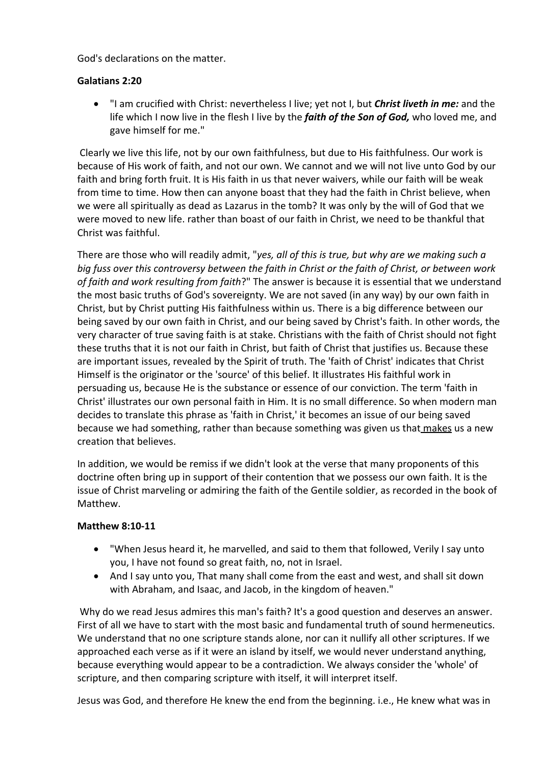God's declarations on the matter.

## **Galatians 2:20**

 "I am crucified with Christ: nevertheless I live; yet not I, but *Christ liveth in me:* and the life which I now live in the flesh I live by the *faith of the Son of God,* who loved me, and gave himself for me."

Clearly we live this life, not by our own faithfulness, but due to His faithfulness. Our work is because of His work of faith, and not our own. We cannot and we will not live unto God by our faith and bring forth fruit. It is His faith in us that never waivers, while our faith will be weak from time to time. How then can anyone boast that they had the faith in Christ believe, when we were all spiritually as dead as Lazarus in the tomb? It was only by the will of God that we were moved to new life. rather than boast of our faith in Christ, we need to be thankful that Christ was faithful.

There are those who will readily admit, "*yes, all of this is true, but why are we making such a big fuss over this controversy between the faith in Christ or the faith of Christ, or between work of faith and work resulting from faith*?" The answer is because it is essential that we understand the most basic truths of God's sovereignty. We are not saved (in any way) by our own faith in Christ, but by Christ putting His faithfulness within us. There is a big difference between our being saved by our own faith in Christ, and our being saved by Christ's faith. In other words, the very character of true saving faith is at stake. Christians with the faith of Christ should not fight these truths that it is not our faith in Christ, but faith of Christ that justifies us. Because these are important issues, revealed by the Spirit of truth. The 'faith of Christ' indicates that Christ Himself is the originator or the 'source' of this belief. It illustrates His faithful work in persuading us, because He is the substance or essence of our conviction. The term 'faith in Christ' illustrates our own personal faith in Him. It is no small difference. So when modern man decides to translate this phrase as 'faith in Christ,' it becomes an issue of our being saved because we had something, rather than because something was given us that makes us a new creation that believes.

In addition, we would be remiss if we didn't look at the verse that many proponents of this doctrine often bring up in support of their contention that we possess our own faith. It is the issue of Christ marveling or admiring the faith of the Gentile soldier, as recorded in the book of Matthew.

## **Matthew 8:10-11**

- "When Jesus heard it, he marvelled, and said to them that followed, Verily I say unto you, I have not found so great faith, no, not in Israel.
- And I say unto you, That many shall come from the east and west, and shall sit down with Abraham, and Isaac, and Jacob, in the kingdom of heaven."

Why do we read Jesus admires this man's faith? It's a good question and deserves an answer. First of all we have to start with the most basic and fundamental truth of sound hermeneutics. We understand that no one scripture stands alone, nor can it nullify all other scriptures. If we approached each verse as if it were an island by itself, we would never understand anything, because everything would appear to be a contradiction. We always consider the 'whole' of scripture, and then comparing scripture with itself, it will interpret itself.

Jesus was God, and therefore He knew the end from the beginning. i.e., He knew what was in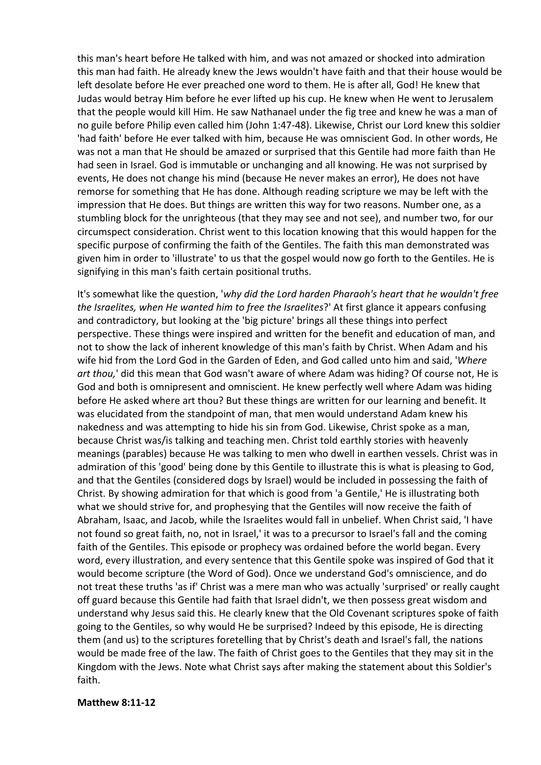this man's heart before He talked with him, and was not amazed or shocked into admiration this man had faith. He already knew the Jews wouldn't have faith and that their house would be left desolate before He ever preached one word to them. He is after all, God! He knew that Judas would betray Him before he ever lifted up his cup. He knew when He went to Jerusalem that the people would kill Him. He saw Nathanael under the fig tree and knew he was a man of no guile before Philip even called him (John 1:47-48). Likewise, Christ our Lord knew this soldier 'had faith' before He ever talked with him, because He was omniscient God. In other words, He was not a man that He should be amazed or surprised that this Gentile had more faith than He had seen in Israel. God is immutable or unchanging and all knowing. He was not surprised by events, He does not change his mind (because He never makes an error), He does not have remorse for something that He has done. Although reading scripture we may be left with the impression that He does. But things are written this way for two reasons. Number one, as a stumbling block for the unrighteous (that they may see and not see), and number two, for our circumspect consideration. Christ went to this location knowing that this would happen for the specific purpose of confirming the faith of the Gentiles. The faith this man demonstrated was given him in order to 'illustrate' to us that the gospel would now go forth to the Gentiles. He is signifying in this man's faith certain positional truths.

It's somewhat like the question, '*why did the Lord harden Pharaoh's heart that he wouldn't free the Israelites, when He wanted him to free the Israelites*?' At first glance it appears confusing and contradictory, but looking at the 'big picture' brings all these things into perfect perspective. These things were inspired and written for the benefit and education of man, and not to show the lack of inherent knowledge of this man's faith by Christ. When Adam and his wife hid from the Lord God in the Garden of Eden, and God called unto him and said, '*Where art thou,*' did this mean that God wasn't aware of where Adam was hiding? Of course not, He is God and both is omnipresent and omniscient. He knew perfectly well where Adam was hiding before He asked where art thou? But these things are written for our learning and benefit. It was elucidated from the standpoint of man, that men would understand Adam knew his nakedness and was attempting to hide his sin from God. Likewise, Christ spoke as a man, because Christ was/is talking and teaching men. Christ told earthly stories with heavenly meanings (parables) because He was talking to men who dwell in earthen vessels. Christ was in admiration of this 'good' being done by this Gentile to illustrate this is what is pleasing to God, and that the Gentiles (considered dogs by Israel) would be included in possessing the faith of Christ. By showing admiration for that which is good from 'a Gentile,' He is illustrating both what we should strive for, and prophesying that the Gentiles will now receive the faith of Abraham, Isaac, and Jacob, while the Israelites would fall in unbelief. When Christ said, 'I have not found so great faith, no, not in Israel,' it was to a precursor to Israel's fall and the coming faith of the Gentiles. This episode or prophecy was ordained before the world began. Every word, every illustration, and every sentence that this Gentile spoke was inspired of God that it would become scripture (the Word of God). Once we understand God's omniscience, and do not treat these truths 'as if' Christ was a mere man who was actually 'surprised' or really caught off guard because this Gentile had faith that Israel didn't, we then possess great wisdom and understand why Jesus said this. He clearly knew that the Old Covenant scriptures spoke of faith going to the Gentiles, so why would He be surprised? Indeed by this episode, He is directing them (and us) to the scriptures foretelling that by Christ's death and Israel's fall, the nations would be made free of the law. The faith of Christ goes to the Gentiles that they may sit in the Kingdom with the Jews. Note what Christ says after making the statement about this Soldier's faith.

#### **Matthew 8:11-12**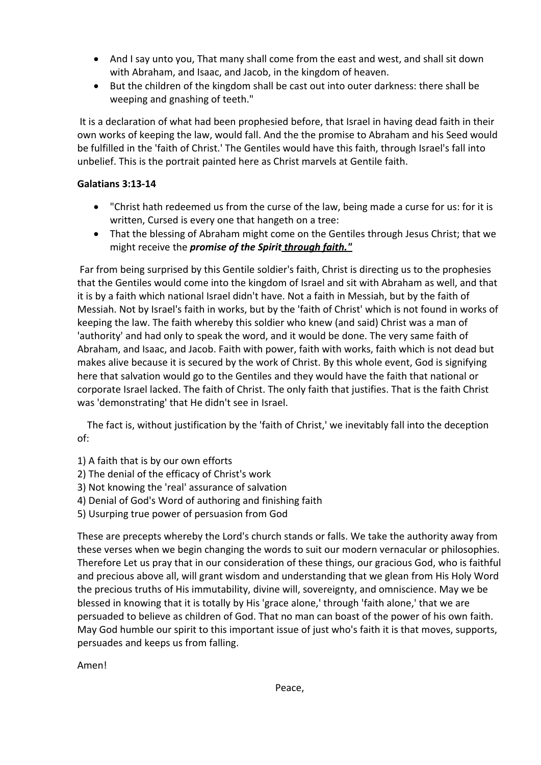- And I say unto you, That many shall come from the east and west, and shall sit down with Abraham, and Isaac, and Jacob, in the kingdom of heaven.
- But the children of the kingdom shall be cast out into outer darkness: there shall be weeping and gnashing of teeth."

It is a declaration of what had been prophesied before, that Israel in having dead faith in their own works of keeping the law, would fall. And the the promise to Abraham and his Seed would be fulfilled in the 'faith of Christ.' The Gentiles would have this faith, through Israel's fall into unbelief. This is the portrait painted here as Christ marvels at Gentile faith.

## **Galatians 3:13-14**

- "Christ hath redeemed us from the curse of the law, being made a curse for us: for it is written, Cursed is every one that hangeth on a tree:
- That the blessing of Abraham might come on the Gentiles through Jesus Christ; that we might receive the *promise of the Spirit through faith."*

Far from being surprised by this Gentile soldier's faith, Christ is directing us to the prophesies that the Gentiles would come into the kingdom of Israel and sit with Abraham as well, and that it is by a faith which national Israel didn't have. Not a faith in Messiah, but by the faith of Messiah. Not by Israel's faith in works, but by the 'faith of Christ' which is not found in works of keeping the law. The faith whereby this soldier who knew (and said) Christ was a man of 'authority' and had only to speak the word, and it would be done. The very same faith of Abraham, and Isaac, and Jacob. Faith with power, faith with works, faith which is not dead but makes alive because it is secured by the work of Christ. By this whole event, God is signifying here that salvation would go to the Gentiles and they would have the faith that national or corporate Israel lacked. The faith of Christ. The only faith that justifies. That is the faith Christ was 'demonstrating' that He didn't see in Israel.

The fact is, without justification by the 'faith of Christ,' we inevitably fall into the deception of:

- 1) A faith that is by our own efforts
- 2) The denial of the efficacy of Christ's work
- 3) Not knowing the 'real' assurance of salvation
- 4) Denial of God's Word of authoring and finishing faith
- 5) Usurping true power of persuasion from God

These are precepts whereby the Lord's church stands or falls. We take the authority away from these verses when we begin changing the words to suit our modern vernacular or philosophies. Therefore Let us pray that in our consideration of these things, our gracious God, who is faithful and precious above all, will grant wisdom and understanding that we glean from His Holy Word the precious truths of His immutability, divine will, sovereignty, and omniscience. May we be blessed in knowing that it is totally by His 'grace alone,' through 'faith alone,' that we are persuaded to believe as children of God. That no man can boast of the power of his own faith. May God humble our spirit to this important issue of just who's faith it is that moves, supports, persuades and keeps us from falling.

Amen!

Peace,